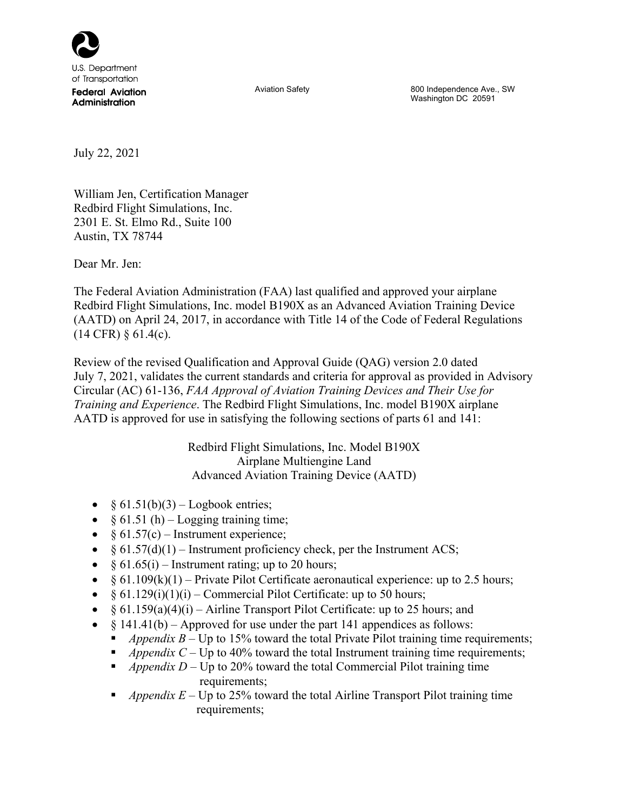

Aviation Safety **800** Independence Ave., SW Washington DC 20591

July 22, 2021

William Jen, Certification Manager Redbird Flight Simulations, Inc. 2301 E. St. Elmo Rd., Suite 100 Austin, TX 78744

Dear Mr. Jen:

The Federal Aviation Administration (FAA) last qualified and approved your airplane Redbird Flight Simulations, Inc. model B190X as an Advanced Aviation Training Device (AATD) on April 24, 2017, in accordance with Title 14 of the Code of Federal Regulations  $(14 \text{ CFR}) \, \S \, 61.4(c)$ .

Review of the revised Qualification and Approval Guide (QAG) version 2.0 dated July 7, 2021, validates the current standards and criteria for approval as provided in Advisory Circular (AC) 61-136, *FAA Approval of Aviation Training Devices and Their Use for Training and Experience*. The Redbird Flight Simulations, Inc. model B190X airplane AATD is approved for use in satisfying the following sections of parts 61 and 141:

> Redbird Flight Simulations, Inc. Model B190X Airplane Multiengine Land Advanced Aviation Training Device (AATD)

- $§ 61.51(b)(3) Logbook entries;$
- $§ 61.51(h) Logging training time;$
- $§ 61.57(c)$  Instrument experience;
- $§ 61.57(d)(1)$  Instrument proficiency check, per the Instrument ACS;
- $§ 61.65(i)$  Instrument rating; up to 20 hours;
- $§ 61.109(k)(1) Private Pilot Certificance acronautical experience: up to 2.5 hours;$
- $§ 61.129(i)(1)(i)$  Commercial Pilot Certificate: up to 50 hours;
- $§ 61.159(a)(4)(i) Airline Transport Philot Certificance: up to 25 hours; and$
- $§ 141.41(b) Approved for use under the part 141 appendices as follows:$ 
	- *Appendix B* Up to 15% toward the total Private Pilot training time requirements;
	- *Appendix C* Up to 40% toward the total Instrument training time requirements;
	- *Appendix D* Up to 20% toward the total Commercial Pilot training time requirements;
	- *Appendix E* Up to 25% toward the total Airline Transport Pilot training time requirements;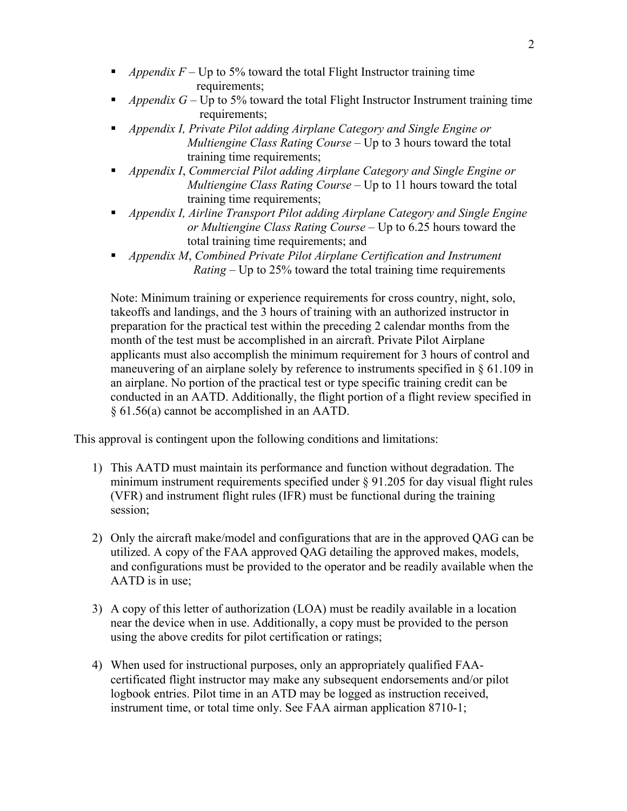- *Appendix F* Up to 5% toward the total Flight Instructor training time requirements;
- *Appendix G* Up to 5% toward the total Flight Instructor Instrument training time requirements;
- *Appendix I, Private Pilot adding Airplane Category and Single Engine or Multiengine Class Rating Course* – Up to 3 hours toward the total training time requirements;
- *Appendix I*, *Commercial Pilot adding Airplane Category and Single Engine or Multiengine Class Rating Course* – Up to 11 hours toward the total training time requirements;
- *Appendix I, Airline Transport Pilot adding Airplane Category and Single Engine or Multiengine Class Rating Course* – Up to 6.25 hours toward the total training time requirements; and
- *Appendix M*, *Combined Private Pilot Airplane Certification and Instrument Rating –* Up to 25% toward the total training time requirements

Note: Minimum training or experience requirements for cross country, night, solo, takeoffs and landings, and the 3 hours of training with an authorized instructor in preparation for the practical test within the preceding 2 calendar months from the month of the test must be accomplished in an aircraft. Private Pilot Airplane applicants must also accomplish the minimum requirement for 3 hours of control and maneuvering of an airplane solely by reference to instruments specified in  $\S 61.109$  in an airplane. No portion of the practical test or type specific training credit can be conducted in an AATD. Additionally, the flight portion of a flight review specified in § 61.56(a) cannot be accomplished in an AATD.

This approval is contingent upon the following conditions and limitations:

- 1) This AATD must maintain its performance and function without degradation. The minimum instrument requirements specified under § 91.205 for day visual flight rules (VFR) and instrument flight rules (IFR) must be functional during the training session;
- 2) Only the aircraft make/model and configurations that are in the approved QAG can be utilized. A copy of the FAA approved QAG detailing the approved makes, models, and configurations must be provided to the operator and be readily available when the AATD is in use;
- 3) A copy of this letter of authorization (LOA) must be readily available in a location near the device when in use. Additionally, a copy must be provided to the person using the above credits for pilot certification or ratings;
- 4) When used for instructional purposes, only an appropriately qualified FAAcertificated flight instructor may make any subsequent endorsements and/or pilot logbook entries. Pilot time in an ATD may be logged as instruction received, instrument time, or total time only. See FAA airman application 8710-1;